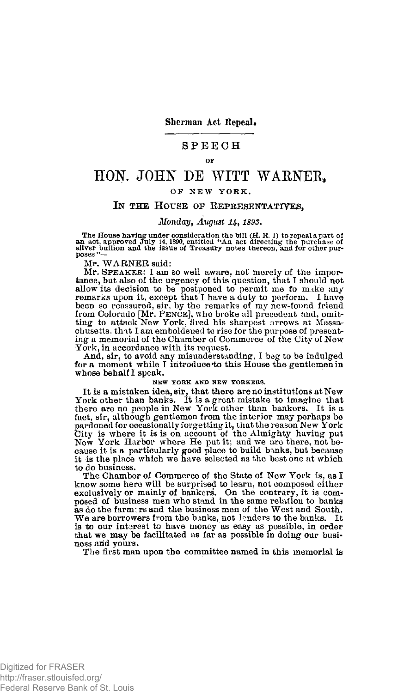**Sherman Act Repeal.** 

## **SPEEC H**

# HOK JOHN DE WITT WARNER,

# **OF NE W YORK ,**

## **IN THE HOUSE OF REPRESENTATIVES,**

## *Monday, August U, 1893.*

The House having under consideration the bill  $(H, R, 1)$  to repeal a part of an act, approved July 14, 1890, entitled "An act directing the purchase of silver bullion and the issue of Treasury notes thereon, and for other

Mr. WARNER said:

Mr. SPEAKER: I am so well aware, not merely of the importance, but also of the urgency of this question, that I should not allow its decision to be postponed to permit me to make any remarks upon it, except that I have a duty to perform. I have been so reassured, sir, by the remarks of my new-found friend from Colorado [Mr. PENCE], who broke a chusetts. that I am emboldened to rise for the purpose of presenting a memorial of the Chamber of Commerce of the City of New York, in accordance with its request.

And, sir, to avoid any misunderstanding, I beg to be indulged for a moment while I introduce\*to this House the gentlemen in whose behalf I speak.

#### **NEW YORK AND NEW YORKERS.**

It is a mistaken idea, sir, that there are no institutions at New York other than banks. It is a great mistake to imagine that there are no people in New York other than bankers. It is a fact, sir, although gentlemen from the interior may perhaps be pardoned for occasionally forgetting it, that the reason New York<br>City is where it is is on account of the Almighty having put<br>New York Harbor where He put it; and we are there, not be-<br>cause it is a particularly good plac to do business.

The Chamber of Commerce of the State of New York is, as I know some here will be surprised to learn, not composed either exclusively or mainly of bankers. On the contrary, it is composed of business men who stand in the same relation to banks as do the farmers and the business men of the West and South. We are borrowers from the banks, not lenders to the banks. It is to our intsrest to have money as easy as possible, in order that we may be facilitated as far as possible in doing our business and vours.

The first man upon the committee named in this memorial is

**OF**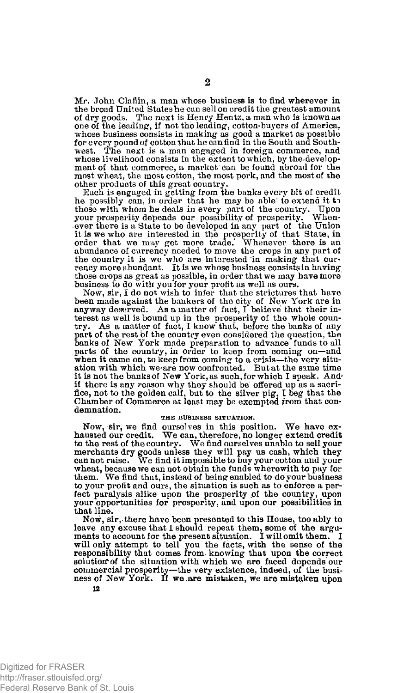Mr. John Claflin, a man whose business is to find wherever in the broad United States he can sell on credit the greatest amount of dry goods. The next is Henry Hentz, a man who is known as one of the leading, if not the leading, cotton-buyers of America, whose business consists in making as good a market as possible for every pound of cotton that he can find in the South and South-west. The next is a man engaged in foreign commerce, and whose livelihood consists in the extent to which, by the.development of that commerce, a market can be found abroad for the most wheat, the most cotton, the most pork, and the most of the other products of this great country.

Each is engaged in getting from the banks every bit of credit he possibly can, in order that he may be able to extend it to those with whom he deals in every part of the country. Upon<br>your prosperity depends our possibility of prosperity. Whenever there is a State to be developed in any part of the Union<br>it is we who are interested in the prosp abundance of currency needed to move the crops in any part of the country it is we who are interested in making that cur-rency more abundant. It is we whose business consists in having those crops as great as possible, in order that we may have more business to do with you for your profit as well as ours.

Now, sir, I do not wish to infer that the strictures that have been made against the bankers of the city of New York are in anyway deserved. As a matter of fact, I believe that their interest as well is bound up in the prosperity of the whole country. As a matter of fact, I know" that, before the banks of any part of the rest of the country even considered the question, the banks of New York made preparation to advance funds to all parts of the country, in order to keep from coming on—and when it came on, to keep from coming to a crisis—the very situation with which we'are now confronted. But at the same time it is not the banksof New York, as such, for which I speak. And' if there is any reason why they should be offered up as a sacri-fice, not to the golden calf, but to the silver pig, I beg that the Chamber of Commerce at least may be exempted from that condemnation.

#### **THE BUSINESS SITUATION.**

Now, sir, we find ourselves in this position. We have exhausted our credit. We can, therefore, no longer extend credit to the rest of the country. We find ourselves unable to sell your merchants dry goods unless they will pay us cash, which they can not raise. We find it impossible to buy your cotton and your wheat, because we can not obtain the funds wherewith to pay for them. We find that, instead of being enabled to do your business to your profit and ours, the situation is such as to enforce a per-fect paralysis alike upon the prosperity of the country, upon your opportunities for prosperity, and upon our possibilities in that line.

Now, sir, there have been presented to this House, too ably to leave any excuse that I should repeat them, some of the arguments to account for the present situation. I will omit them. I will only attempt to tell you the facts, with the sense of the responsibility that comes from knowing that upon the correct solution of the situation with which we are faced depends our commercial prosperity—the very existence, indeed, of the busi-ness of New York. If we are mistaken, we are mistaken upon

Digitized for FRASER http://fraser.stlouisfed.org/ Federal Reserve Bank of St. Louis

12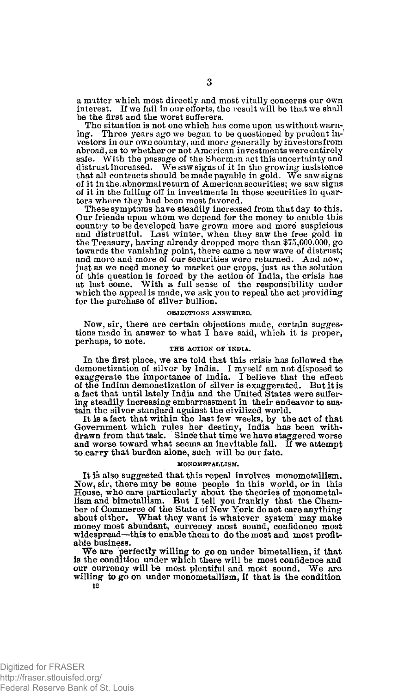a matter which most directly and most vitally concerns our own interest. If we fail in our efforts, the result will be that we shall be the first and the worst sufferers.

The situation is not one which has come upon us without warning. Three years ago we began to be questioned by prudent in-Three years ago we began to be questioned by prudent investors in our own country, and more generally by investors from abroad, as to whether or not American investments were entirely safe. With the passage of the Sherman act this uncertainty and distrust increased. We saw signs of it in the growing insistence that all contracts should be made payable in gold. We saw signs of it in the, abnormal return of American securities: we saw signs of it in the falling off in investments in those securities in quarters where they had been most favored.

These symptoms have steadily increased from that day to this. Our friends upon whom we depend for the money to enable this country to be developed have grown more and more suspicious and distrustful. Last winter, when they saw the free gold in the Treasury, having- already dropped more than \$75,000,000, go towards the vanishing point, there came a new wave of distrust; and more and more of our securities were returned. And now, just as we need money to market our crops, just as the solution of this question is forced by the action of India, the crisis has at last come. With a full sense of the responsibility under which the appeal is made, we ask you to repeal the act providing for the purchase of silver bullion.

#### **OBJECTIONS ANSWERED.**

Now, sir, there are certain objections made, certain suggestions made in answer to what I have said, which it is proper, perhaps, to note.

#### **THE ACTION OF INDIA.**

In the first place, we are told that this crisis has followed the demonetization of silver by India. I myself am not disposed to exaggerate the importance of India. I believe that the effect of the Indian demonetization of silver is exaggerated. But it is a fact that until lately India and the United States were suffering steadily increasing embarrassment in their endeavor to sus-tain the silver standard against the civilized world.

It is a fact that within the last few weeks, by the act of that Government which rules her destiny, India has been withdrawn from that task. Since that time we have staggered worse and worse toward what seems an inevitable fall. If we attempt to carry that burden alone, such will be our fate.

#### **MONOMETALLISM.**

It is also suggested that this repeal involves monometallism. Now, sir, there may be some people in this world, or in this House, who care particularly about the theories of monometal-lism and bimetallism. But I tell you frankly that the Chamber of Commerce of the State of New York do not care anything about either. What they want is whatever system may make money most abundant, currency most sound, confidence most widespread—this to enable them to do the most and most profitable business.

We are perfectly willing to go on under bimetallism, if that is the condition under which there will be most confidence and our currency will be most plentiful and most sound. We are willing to go on under monometallism, if that is the condition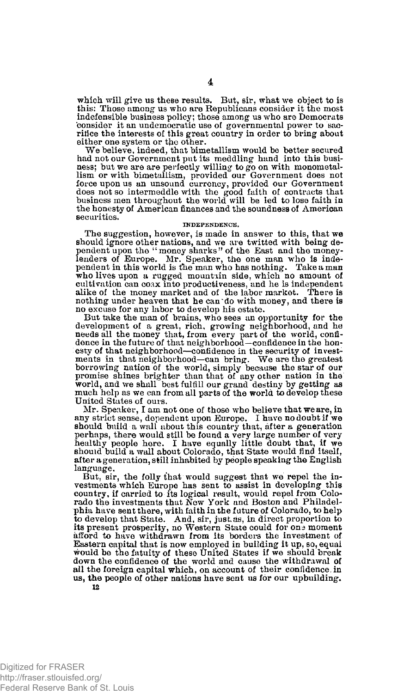which will give us these results. But, sir, what we object to is this: Those among us who are Republicans consider it the most indefensible business policy; those among us who are Democrats 'consider it an undemocratic use of governmental power to sacrifice the interests of this great country in order to bring about either one system or the other.

We believe, indeed, that bimetallism would be better secured had not our Government put its meddling hand into this business; but we are are perfectly willing to go on with monometal-lism or with bimetallism, provided our Government does not force upon us an unsound currency, provided our Government does not so intermeddle with the good faith of contracts that business men throughout the world will be led to lose faith in the honesty of American finances and the soundness of American securities.

#### **INDEPENDENCE.**

The suggestion, however, is made in answer to this, that we should ignore other nations, and we are twitted with being dependent upon the "money sharks" of the East and the money-<br>lenders of Europe. Mr. Speaker, the one man who is inde-<br>pendent in this world is the man who has nothing. Take a man who lives upon a rugged mountain side, which no amount of cultivation can coax into productiveness, and he is independent alike of the money market and of the labor market. There is nothing under heaven that he can do with money, and there is no excuse for any labor to develop his estate. But take the man of brains, who sees an opportunity for the

development of a great, rich, growing neighborhood, and he needs all the money that, from every part of the world, confi-dence in the future of that neighborhood—confidence in the honesty of that neighborhood—confidence in the security of investments in that neighborhood—can bring. We are the greatest borrowing nation of the world, simply because the star of our promise shines brighter than that of any other nation in the world, and we shall best fulfill our grand destiny by getting as much help as we can from all parts of the world to develop these United States of ours.

Mr. Speaker, I am not one of those who believe that we are, in any strict sense, dependent upon Europe. I have no doubt if we should build a wall about this country that, after a generation perhaps, there would still be found a very large number of very healthy people here. I have equally little doubt that, if we should build a wall about Colorado, that State would find itself, after a generation, still inhabited by people speaking the English language.

But, sir, the folly that would suggest that we repel the investments which Europe has sent to assist in developing this country, if carried to its logical result, would repel from Colorado the investments that New York and Boston and Philadelphia have sent there, with faith in the future of Colorado, to help to develop that State. And, sir, just as, in direct proportion to its present prosperity, no Western State could for one moment afford to have withdrawn from its borders the investment of Eastern capital that is now employed in building it up, so, equal would be the fatuity of these United States if we should break down the confidence of the world and cause the withdrawal of all the foreign capital which, on account of their confidence, in us, the people of other nations have sent us for our upbuilding.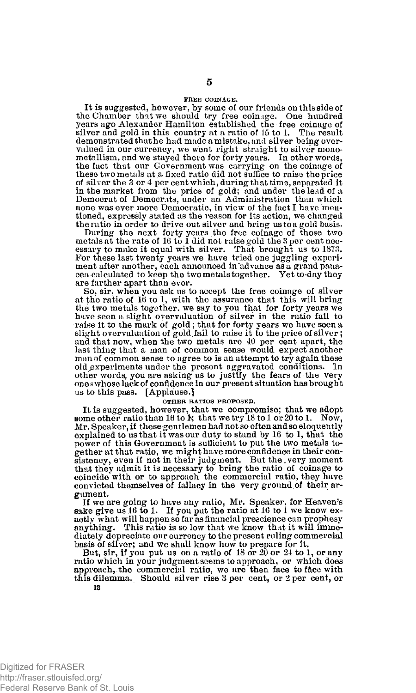#### **FREE COINAGE.**

It is suggested, however, by some of our friends on this side of the Chamber that we should try free coinage. One hundred years ago Alexander Hamilton established the free coinage of silver and gold in this country at a ratio of 15 to 1. The result demonstrated that he had made a mistake, and silver being overvalued in our currency, we went right straight to silver monometallism, and we stayed there for forty years. In other words, the fact that our Government was carrying on the coinage of these two metals at a fixed ratio did not suffice to raise the price of silver the 3 or 4 per cent which, during that time, separated it in the market from the price of gold; and under the lead of a Democrat of Democrats, under an Administration than which none was ever more Democratic, in view of the fact I have mentioned, expressly stated as the reason for its action, we changed the ratio in order to drive out silver and bring us to a gold basis.

During the next forty years the free coinage of those two<br>metals at the rate of 16 to 1 did not raise gold the 3 per cent necessary to make it equal with silver. That brought us to 1873.<br>For these last twenty years we have ment after another, each announced in'advance as a grand panacea calculated to keep the two metals together. Yet to-day they are farther apart than ever.

So, sir, when you ask us to accept the free coinage of silver at the ratio of 10 to 1, with the assurance that this will bring the two metals together, we say to you that for forty years we have seen a slight overvaluation of silver in the ratio fail to raise it to the mark of gold; that for forty years we have seen a slight overvaluation of gold.fail to raise it to the price of silver; and that now, when the two metals are 40 per cent apart, the last thing that a man of common sense would expect another man of common sense to agree to is an attempt to try again these old experiments under the present aggravated conditions. In other words, you are asking us to justify the fears of the very ones whose lack of confidence in our present situation has brought us to this pass. [Applause.]

#### **OTHER RATIOS PROPOSED.**

It is suggested, however, that we compromise; that we adopt some other ratio than 16 to  $\mathbf{k}$ ; that we try 18 to 1 or 20 to 1. Now, Mr. Speaker, if these gentlemen had not so often and so eloquently explained to us that it was our duty to stand by 16 to 1, that the power of this Government is sufficient to put the two metals together at that ratio, we might have more confidence in their consistency, even if not in their judgment. But the very moment that they admit it is necessary to bring the ratio of coinage to coincide with or to approach the commercial ratio, they have convicted themselves of fallacy in the very ground of their argument.

If we are going to have any ratio, Mr. Speaker, for Heaven's sake give us 16 to I. If you put the ratio at 16 to 1 we know exactly what will happen so far as financial prescience can prophesy anything. This ratio is so low that we know that it will immediately depreciate our currency to the present ruling commercial

basis of silver; and we shall know how to prepare for it. But, sir, if you put us on a ratio of 18 or 20 or 24 to 1, or any ratio which in your judgment seems to approach, or which does approach, the commercial ratio, we are then face to face with this dilemma. Should silver rise 3 per cent, or 2 per cent, or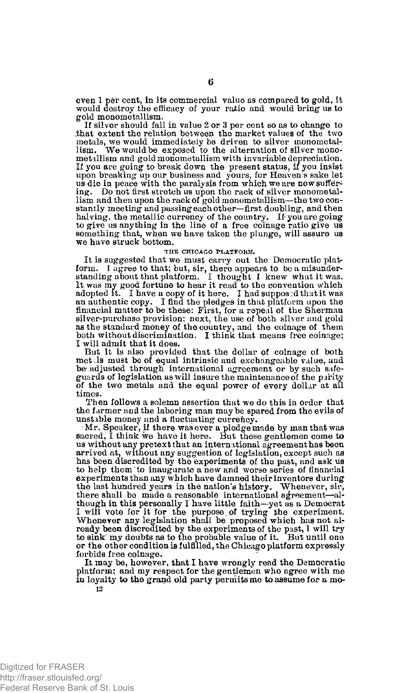even 1 per cent, in its commercial value as compared to gold, it would destroy the efficacy of your ratio and would bring us to gold monometallism.

If silver should fall in value 2 or 3 per cent so as to change to .that extent the relation between the market values of the two metals, we would immediately be driven to silver monometal-lism. We would be exposed to the alternation of silver monometallism and gold monometallism with invariable depreciation. If you are going to break down the present status, if you insist<br>upon breaking up our business and yours, for Heaven's sake let<br>us die in peace with the paralysis from which we are now suffering. Do not first stretch us upon the rack of silver monometal-lism and then upon the rack of gold monometallism—the two constantly meeting and passing each other—first doubling, and then halving, the metallic currency of the country. If you are going to give us anything in the line of a free coinage ratio give us something that, when we have taken the plunge, will assure us we have struck bottom.

#### **THE CHICAGO PLATFORM.**

It is suggested that we must carry out the Democratic platform. I agree to that; but, sir, there appears to be a misunder-<br>standing about that platform. I thought I knew what it was.<br>It was my good fortune to hear it read to the convention which adopted it. I have a copy of it here. I had supposed that it was<br>an authentic copy. I find the pledges in that platform upon the financial matter to be these: First, for a repeal of the Sherman silver-purchase provision; next, the use of both silver and gold as the standard money of the country, and the coinage of them both without discrimination. I think that means free coinage; I will admit that it does.

But it is also provided that the dollar of coinage of both met;Is must be of equal intrinsic and exchangeable value, and be adjusted through international agreement or by such safeguards of legislation as will insure the maintenance of the parity of the two metals and the equal power of every dollar at all times.

Then follows a solemn assertion that we do this in order that the farmer and the laboring man may be spared from the evils of unstable money and a fluctuating currency.

Mr. Speaker, if there was ever a pledge\*made by man that was sacred, I think we have it here. But these gentlemen come to us without any pretext that an international agreement has been arrived at, without any suggestion of legislation, except such as has been discredited by the experiments of the past, and ask us to help them "to inaugurate a new and worse series of financial experiments than any which have damned their inventors during the last hundred years in the nation's history. Whenever, sir, there shall be made a reasonable international agreement—although in this personally I have little faith—yet as a Democrat I will vote for it for the purpose of trying the experiment.<br>Whenever any legislation shall be proposed which has not already been discredited by the experiments of the past, I will try to sink' my doubts as to the probable value of it. But until one or the other condition is fulfilled, the Chicago platform expressly forbids free coinage.

It may be, however, that I have wrongly read the Democratic platform; and my respect for the gentlemen who agree with me in loyalty to the grand old party permits me to assume for a mo-**12**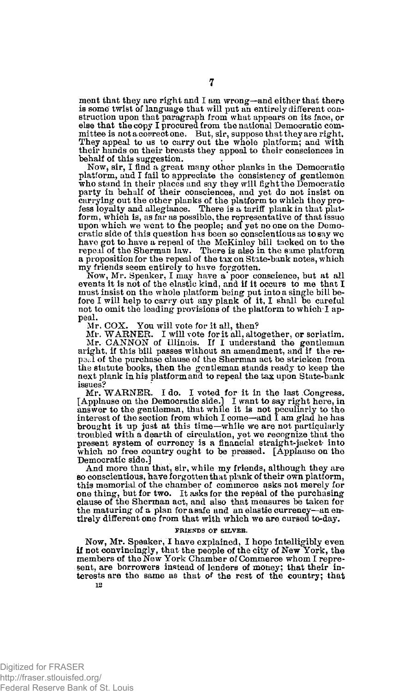ment that they are right and I am wrong—and either that there is some twist of language that will put an entirely different construction upon that paragraph from what appears on its face, or else that the copy I procured from the national Democratic committee is not a correct one. But, sir, suppose that they are right. They appeal to us to carry out the whole platform; and with their hands on their breasts they appeal to their consciences in behalf of this suggestion.

Now, sir, I find a great many other planks in the Democratic<br>platform, and I fail to appreciate the consistency of gentlemen<br>who stand in their places and say they will fight the Democratic<br>party in behalf of their conscie carrying out the other planks of the platform to which they pro-fess loyalty and allegiance. There is a tariff plank in that platform, which is, as far as possible, the representative of that issue upon which we went to the people; and yet no one on the Democratic side of this question has been so conscientious as to say we have got to have a repeal of the McKinley bill tacked on to the repeal of the Sherman law. There is also in the same platform a proposition for the repeal of the tax on State-bank notes, which my friends seem entirely to have forgotten. Now, Mr. Speaker, I may have a\* poor conscience, but at all

events it is not of the elastic kind, and if it occurs to me that I must insist on the whole platform being put into a single bill be-fore I will help to carry out any plank of it, I shall be careful not to omit the leading provisions of the platform to which I appeal.

Mr. COX. You will vote for it all, then?

Mr. WARNER. I will vote for it all, altogether, or seriatim. Mr. CANNON of Illinois. If I understand the gentleman aright, if this bill passes without an amendment, and if the re-peal of the purchase clause of the Sherman act be stricken from the statute books, then the gentleman stands ready to keep the next plank in his platform and to repeal the tax upon State-bank issues?

Mr. WARNER. I do. I voted for it in the last Congress.<br>[Applause on the Democratic side.] I want to say right here, in<br>answer to the gentleman, that while it is not peculinrly to the<br>interest of the section from which I co brought it up just at this time—while we are not particularly troubled with a dearth of circulation, yet we recognize that the present system of currency is a financial straight-jacket into which no free country ought to be pressed. [Applause on the Democratic side.]

And more than that, sir, while my friends, although they are so conscientious, have forgotten that plank of their own platform, this memorial of the chamber of commerce asks not merely for one thing, but for two. It asks for the repeal of the purchasing clause of the Sherman act, and also that measures be taken for the maturing of a plan for a safe and an elastic currency—an entirely different one from that with which we are cursed to-day.

### **FRIENDS OF SILVER.**

Now, Mr. Speaker, I have explained, I hope intelligibly even if not convincingly, that the people of the city of New York, the members of the New York Chamber of Commerce whom I represent, are borrowers instead of lenders of money; that their interests are the same as that of the rest of the country; that 12